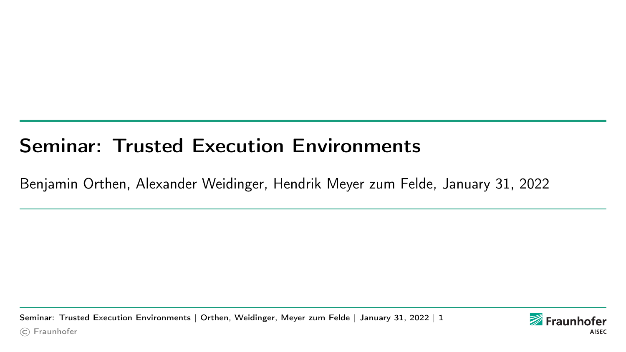# <span id="page-0-0"></span>Seminar: Trusted Execution Environments

Benjamin Orthen, Alexander Weidinger, Hendrik Meyer zum Felde, January 31, 2022

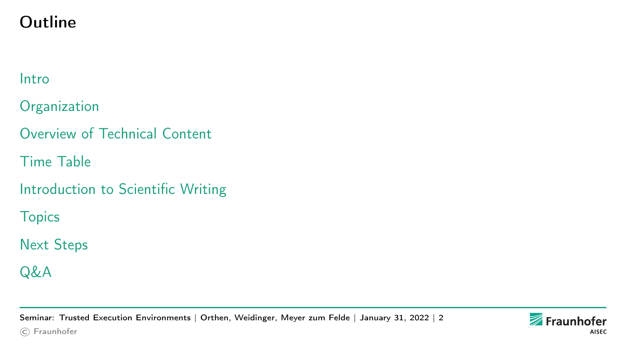# Outline

#### [Intro](#page-2-0)

**[Organization](#page-4-0)** 

[Overview of Technical Content](#page-5-0)

[Time Table](#page-10-0)

[Introduction to Scientific Writing](#page-11-0)

**[Topics](#page-12-0)** 

[Next Steps](#page-15-0)

[Q&A](#page-16-0)

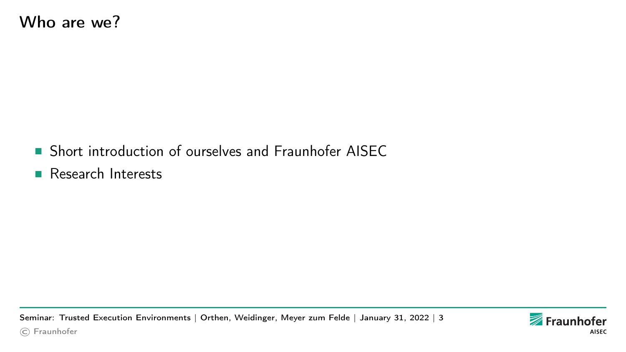- <span id="page-2-0"></span>■ Short introduction of ourselves and Fraunhofer AISEC
- Research Interests

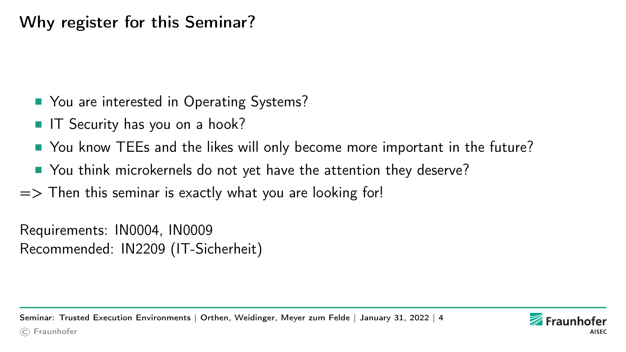Why register for this Seminar?

- You are interested in Operating Systems?
- IT Security has you on a hook?
- You know TEEs and the likes will only become more important in the future?
- You think microkernels do not yet have the attention they deserve?
- $\Rightarrow$  Then this seminar is exactly what you are looking for!

Requirements: IN0004, IN0009 Recommended: IN2209 (IT-Sicherheit)

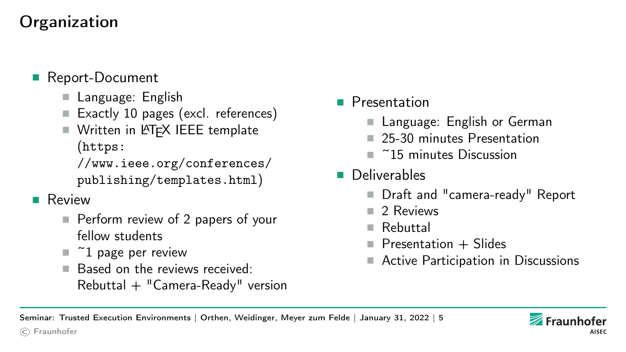# <span id="page-4-0"></span>**Organization**

- Report-Document
	- Language: English
	- Exactly 10 pages (excl. references)
	- Written in LAT<sub>F</sub>X IEEE template ([https:](https://www.ieee.org/conferences/publishing/templates.html)

[//www.ieee.org/conferences/](https://www.ieee.org/conferences/publishing/templates.html) [publishing/templates.html](https://www.ieee.org/conferences/publishing/templates.html))

- Review
	- Perform review of 2 papers of your fellow students
	- $\blacksquare$  ~1 page per review
	- Based on the reviews received:  $Rebuttal + "Camera-Ready" version$

[Seminar: Trusted Execution Environments](#page-0-0) | Orthen, Weidinger, Meyer zum Felde | January 31, 2022 | 5

- Presentation
	- Language: English or German
	- 25-30 minutes Presentation
	- ~15 minutes Discussion
- Deliverables
	- Draft and "camera-ready" Report
	- 2 Reviews
	- Rebuttal
	- $\blacksquare$  Presentation  $\pm$  Slides
	- Active Participation in Discussions

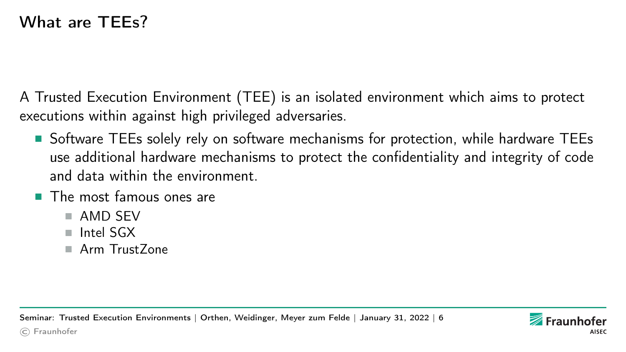### <span id="page-5-0"></span>What are TFFs?

A Trusted Execution Environment (TEE) is an isolated environment which aims to protect executions within against high privileged adversaries.

- Software TEEs solely rely on software mechanisms for protection, while hardware TEEs use additional hardware mechanisms to protect the confidentiality and integrity of code and data within the environment.
- The most famous ones are
	- AMD SFV
	- Intel SGX
	- Arm TrustZone

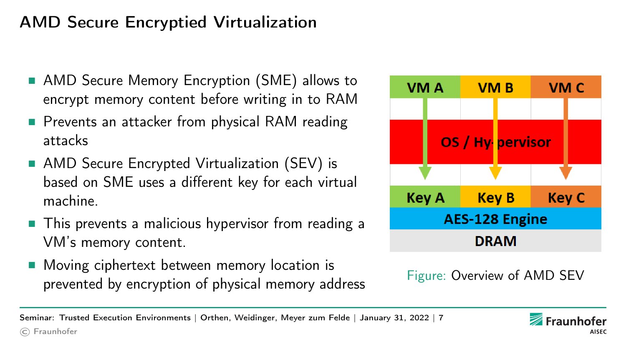### AMD Secure Encryptied Virtualization

- AMD Secure Memory Encryption (SME) allows to encrypt memory content before writing in to RAM
- Prevents an attacker from physical RAM reading attacks
- AMD Secure Encrypted Virtualization (SEV) is based on SME uses a different key for each virtual machine.
- This prevents a malicious hypervisor from reading a VM's memory content.
- Moving ciphertext between memory location is prevented by encryption of physical memory address Figure: Overview of AMD SEV



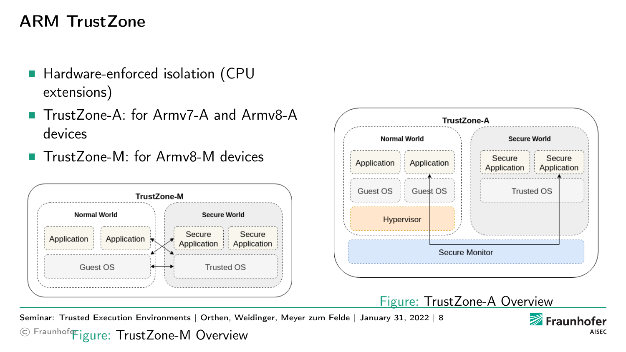### ARM TrustZone

- Hardware-enforced isolation (CPU extensions)
- TrustZone-A: for Army7-A and Army8-A devices
- TrustZone-M: for Army8-M devices





© Fraunhoferigure: TrustZone-M Overview [Seminar: Trusted Execution Environments](#page-0-0) | Orthen, Weidinger, Meyer zum Felde | January 31, 2022 | 8

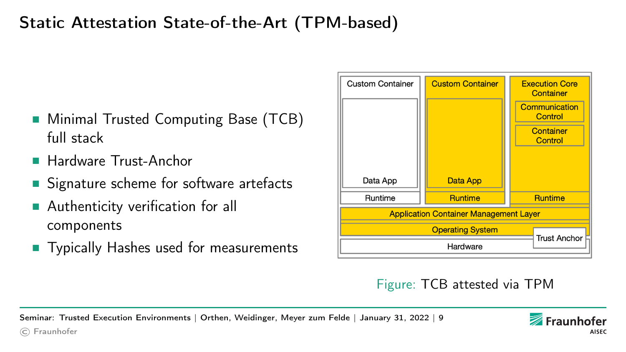# Static Attestation State-of-the-Art (TPM-based)

- Minimal Trusted Computing Base (TCB) full stack
- Hardware Trust-Anchor

© Fraunhofer

- Signature scheme for software artefacts
- Authenticity verification for all components
- Typically Hashes used for measurements

| <b>Custom Container</b>                       | <b>Custom Container</b> | <b>Execution Core</b><br>Container |
|-----------------------------------------------|-------------------------|------------------------------------|
|                                               |                         | Communication<br>Control           |
|                                               |                         | Container<br>Control               |
| Data App                                      | <b>Data App</b>         |                                    |
| Runtime                                       | <b>Runtime</b>          | <b>Runtime</b>                     |
| <b>Application Container Management Layer</b> |                         |                                    |
| <b>Operating System</b>                       |                         |                                    |
| Hardware                                      |                         | <b>Trust Anchor</b>                |

#### Figure: TCB attested via TPM

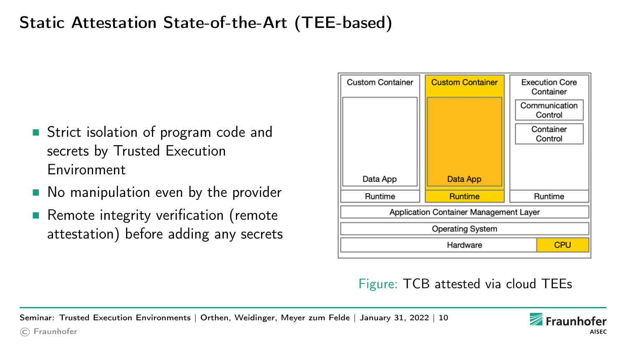# Static Attestation State-of-the-Art (TEE-based)

- Strict isolation of program code and secrets by Trusted Execution Environment
- No manipulation even by the provider
- Remote integrity verification (remote attestation) before adding any secrets

© Fraunhofer



Figure: TCB attested via cloud TEEs

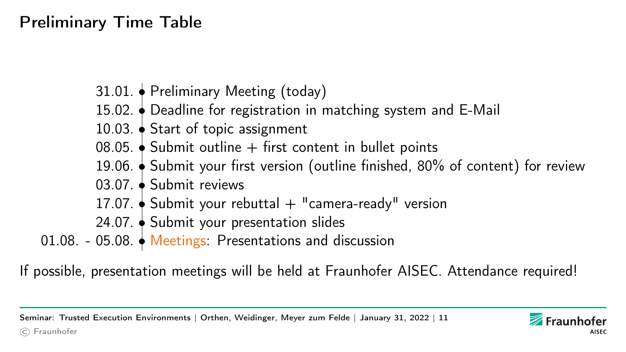# <span id="page-10-0"></span>Preliminary Time Table

- 31.01. Preliminary Meeting (today)
- 15.02. Deadline for registration in matching system and E-Mail
- 10.03. Start of topic assignment
- 08.05.  $\bullet$  Submit outline  $+$  first content in bullet points
- 19.06. Submit your first version (outline finished, 80% of content) for review
- 03.07. Submit reviews
- 17.07.  $\blacklozenge$  Submit your rebuttal  $+$  "camera-ready" version
- 24.07. Submit your presentation slides
- 01.08. 05.08. Meetings: Presentations and discussion

If possible, presentation meetings will be held at Fraunhofer AISEC. Attendance required!

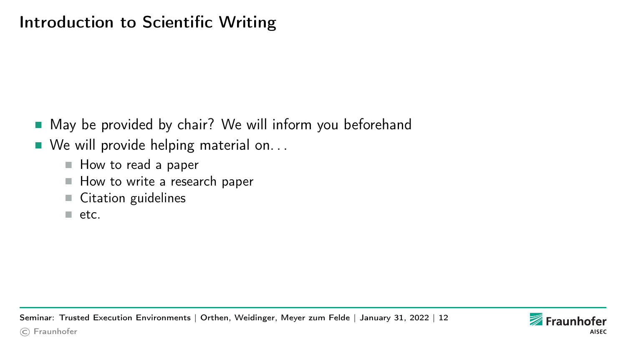### <span id="page-11-0"></span>Introduction to Scientific Writing

- May be provided by chair? We will inform you beforehand
- $\blacksquare$  We will provide helping material on...
	- How to read a paper
	- How to write a research paper
	- Citation guidelines
	- etc.

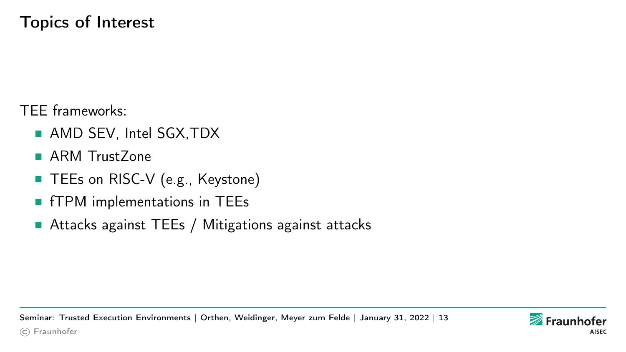### <span id="page-12-0"></span>Topics of Interest

TEE frameworks:

- AMD SEV, Intel SGX, TDX
- ARM Trust Zone
- TEEs on RISC-V (e.g., Keystone)
- fTPM implementations in TEEs
- Attacks against TEEs / Mitigations against attacks

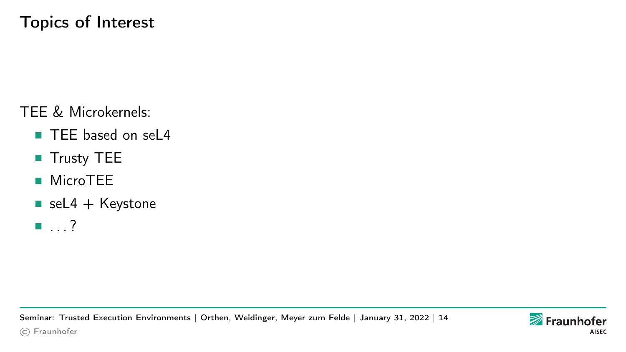TEE & Microkernels:

- TEE based on sel 4
- Trusty TEE
- MicroTEE
- $\blacksquare$  seL4 + Keystone
- . . . ?

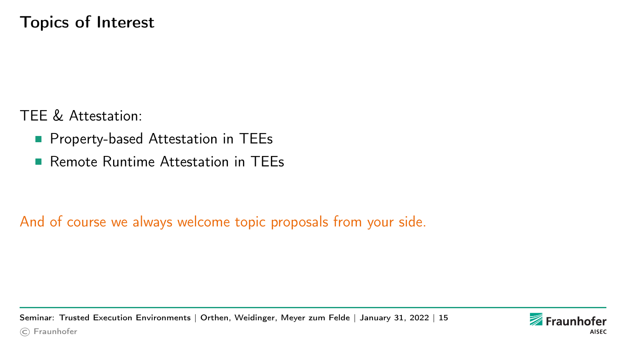### Topics of Interest

TEE & Attestation:

- Property-based Attestation in TEEs
- Remote Runtime Attestation in TFFs

And of course we always welcome topic proposals from your side.

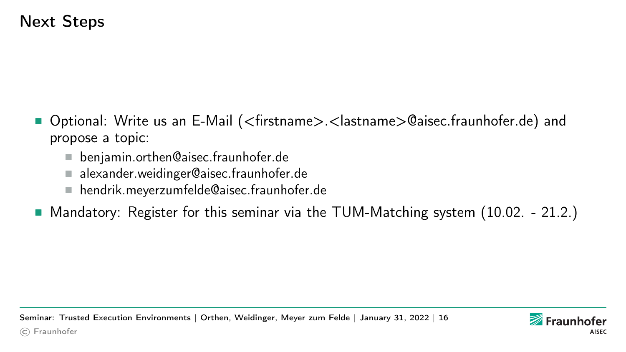### <span id="page-15-0"></span>Next Steps

- Optional: Write us an E-Mail (<firstname>.<lastname>@aisec.fraunhofer.de) and propose a topic:
	- benjamin.orthen@aisec.fraunhofer.de
	- alexander.weidinger@aisec.fraunhofer.de
	- hendrik.meyerzumfelde@aisec.fraunhofer.de
- Mandatory: Register for this seminar via the [TUM-Matching](https://matching.in.tum.de/) system (10.02. 21.2.)